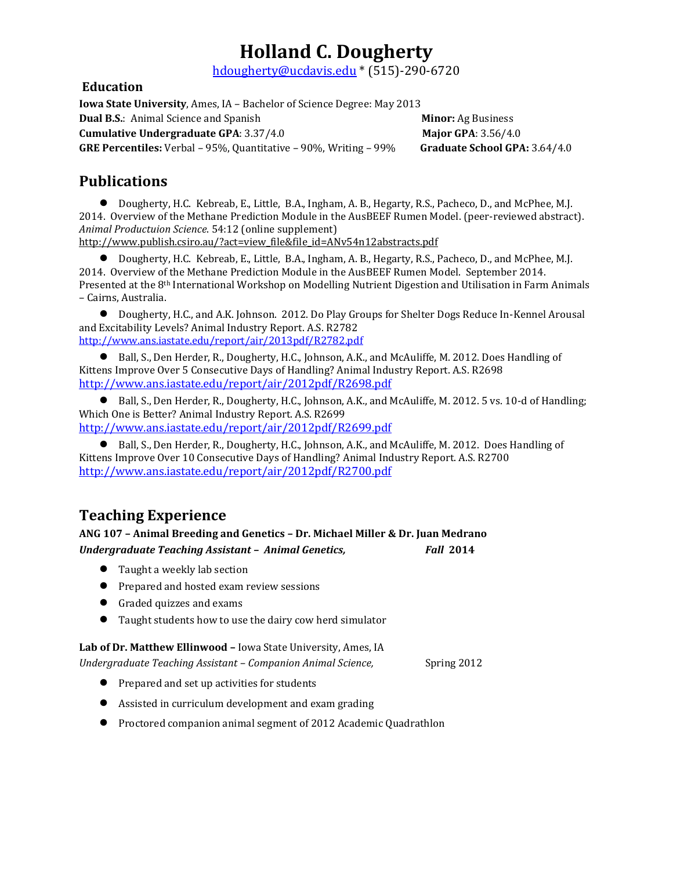[hd](mailto:hollandd@iastate.edu)ougherty@ucdavis.edu \* (515)-290-6720

### **Education**

**Iowa State University**, Ames, IA – Bachelor of Science Degree: May 2013

**Dual B.S.:** Animal Science and Spanish **Minor:** Ag Business **Minor:** Ag Business

**Cumulative Undergraduate GPA**: 3.37/4.0 **Major GPA**: 3.56/4.0

**GRE Percentiles:** Verbal – 95%, Quantitative – 90%, Writing – 99% **Graduate School GPA:** 3.64/4.0

## **Publications**

● Dougherty, H.C. Kebreab, E., Little, B.A., Ingham, A. B., Hegarty, R.S., Pacheco, D., and McPhee, M.J. 2014. Overview of the Methane Prediction Module in the AusBEEF Rumen Model. (peer-reviewed abstract). *Animal Productuion Science*. 54:12 (online supplement) [http://www.publish.csiro.au/?act=view\\_file&file\\_id=ANv54n12abstracts.pdf](http://www.publish.csiro.au/?act=view_file&file_id=ANv54n12abstracts.pdf)

● Dougherty, H.C. Kebreab, E., Little, B.A., Ingham, A. B., Hegarty, R.S., Pacheco, D., and McPhee, M.J. 2014. Overview of the Methane Prediction Module in the AusBEEF Rumen Model. September 2014. Presented at the 8th International Workshop on Modelling Nutrient Digestion and Utilisation in Farm Animals – Cairns, Australia.

● Dougherty, H.C., and A.K. Johnson. 2012. Do Play Groups for Shelter Dogs Reduce In-Kennel Arousal and Excitability Levels? Animal Industry Report. A.S. R2782 <http://www.ans.iastate.edu/report/air/2013pdf/R2782.pdf>

● Ball, S., Den Herder, R., Dougherty, H.C., Johnson, A.K., and McAuliffe, M. 2012. Does Handling of Kittens Improve Over 5 Consecutive Days of Handling? Animal Industry Report. A.S. R2698 <http://www.ans.iastate.edu/report/air/2012pdf/R2698.pdf>

● Ball, S., Den Herder, R., Dougherty, H.C., Johnson, A.K., and McAuliffe, M. 2012. 5 vs. 10-d of Handling; Which One is Better? Animal Industry Report. A.S. R2699 <http://www.ans.iastate.edu/report/air/2012pdf/R2699.pdf>

● Ball, S., Den Herder, R., Dougherty, H.C., Johnson, A.K., and McAuliffe, M. 2012. Does Handling of Kittens Improve Over 10 Consecutive Days of Handling? Animal Industry Report. A.S. R2700 <http://www.ans.iastate.edu/report/air/2012pdf/R2700.pdf>

# **Teaching Experience**

### **ANG 107 – Animal Breeding and Genetics – Dr. Michael Miller & Dr. Juan Medrano** *Undergraduate Teaching Assistant – Animal Genetics, Fall* **2014**

- Taught a weekly lab section
- Prepared and hosted exam review sessions
- Graded quizzes and exams
- Taught students how to use the dairy cow herd simulator

### **Lab of Dr. Matthew Ellinwood –** Iowa State University, Ames, IA

*Undergraduate Teaching Assistant – Companion Animal Science,* Spring 2012

- Prepared and set up activities for students
- Assisted in curriculum development and exam grading
- Proctored companion animal segment of 2012 Academic Quadrathlon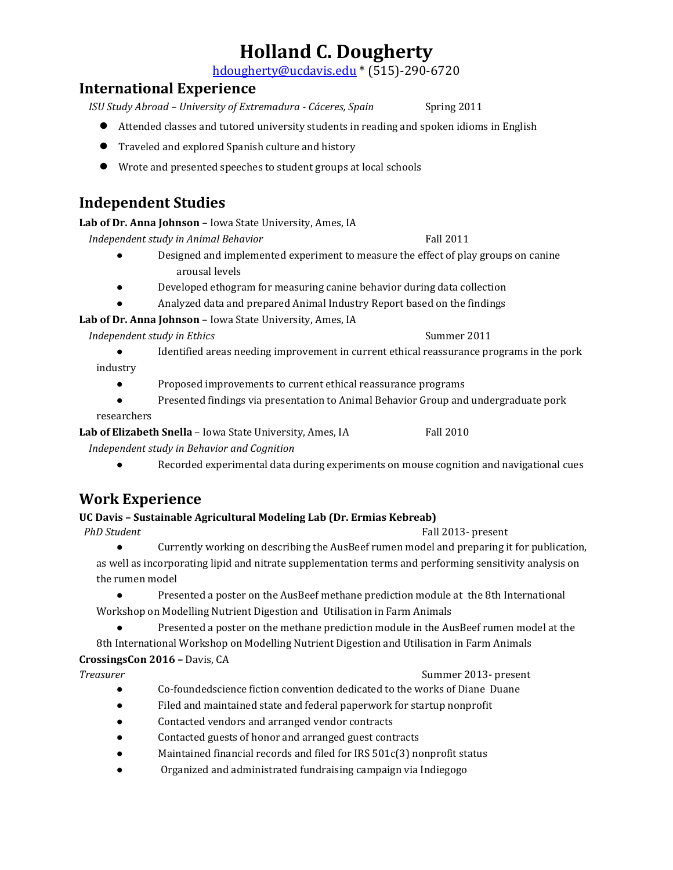[hd](mailto:hollandd@iastate.edu)ougherty@ucdavis.edu \* (515)-290-6720

### **International Experience**

*ISU Study Abroad - University of Extremadura - Cáceres, Spain* Spring 2011

- Attended classes and tutored university students in reading and spoken idioms in English
- Traveled and explored Spanish culture and history
- Wrote and presented speeches to student groups at local schools

## **Independent Studies**

**Lab of Dr. Anna Johnson –** Iowa State University, Ames, IA

*Independent study in Animal Behavior* Fall 2011

- Designed and implemented experiment to measure the effect of play groups on canine arousal levels
- Developed ethogram for measuring canine behavior during data collection
- Analyzed data and prepared Animal Industry Report based on the findings

**Lab of Dr. Anna Johnson** – Iowa State University, Ames, IA

*Independent study in Ethics* Summer 2011

- Identified areas needing improvement in current ethical reassurance programs in the pork
- industry
	- Proposed improvements to current ethical reassurance programs
	- Presented findings via presentation to Animal Behavior Group and undergraduate pork

researchers

**Lab of Elizabeth Snella** – Iowa State University, Ames, IA Fall 2010

 *Independent study in Behavior and Cognition*

● Recorded experimental data during experiments on mouse cognition and navigational cues

# **Work Experience**

### **UC Davis – Sustainable Agricultural Modeling Lab (Dr. Ermias Kebreab)**

- *PhD Student* Fall 2013- present
	- Currently working on describing the AusBeef rumen model and preparing it for publication, as well as incorporating lipid and nitrate supplementation terms and performing sensitivity analysis on the rumen model
	- Presented a poster on the AusBeef methane prediction module at the 8th International Workshop on Modelling Nutrient Digestion and Utilisation in Farm Animals
		-
		- Presented a poster on the methane prediction module in the AusBeef rumen model at the

8th International Workshop on Modelling Nutrient Digestion and Utilisation in Farm Animals **CrossingsCon 2016 –** Davis, CA

**Treasurer Summer 2013- present** 

- Co-foundedscience fiction convention dedicated to the works of Diane Duane
- Filed and maintained state and federal paperwork for startup nonprofit
- Contacted vendors and arranged vendor contracts
- Contacted guests of honor and arranged guest contracts
- Maintained financial records and filed for IRS 501c(3) nonprofit status
- Organized and administrated fundraising campaign via Indiegogo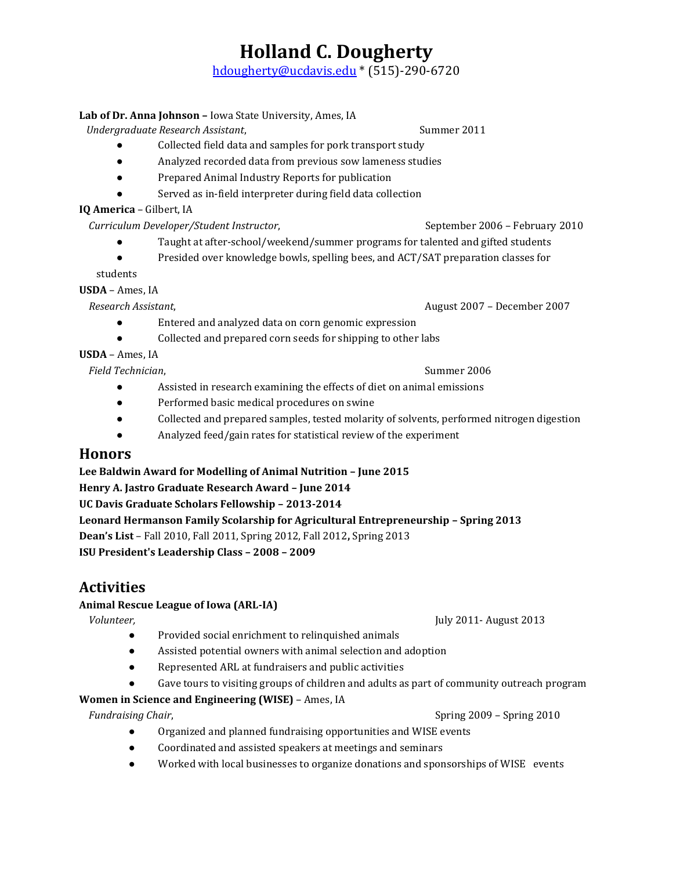[hd](mailto:hollandd@iastate.edu)ougherty@ucdavis.edu \* (515)-290-6720

### **Lab of Dr. Anna Johnson –** Iowa State University, Ames, IA

 *Undergraduate Research Assistant*, Summer 2011

- Collected field data and samples for pork transport study
- Analyzed recorded data from previous sow lameness studies
- Prepared Animal Industry Reports for publication
- Served as in-field interpreter during field data collection

● Entered and analyzed data on corn genomic expression

### **IQ America** – Gilbert, IA

 *Curriculum Developer/Student Instructor*, September 2006 – February 2010

- Taught at after-school/weekend/summer programs for talented and gifted students
- Presided over knowledge bowls, spelling bees, and ACT/SAT preparation classes for

students

**USDA** – Ames, IA

 *Research Assistant*, August 2007 – December 2007

### ● Collected and prepared corn seeds for shipping to other labs **USDA** – Ames, IA

*Field Technician*,  $\frac{1}{2}$  *Field Technician*,  $\frac{1}{2}$  *Summer 2006* 

- Assisted in research examining the effects of diet on animal emissions
- Performed basic medical procedures on swine
- Collected and prepared samples, tested molarity of solvents, performed nitrogen digestion
- Analyzed feed/gain rates for statistical review of the experiment

### **Honors**

### **Lee Baldwin Award for Modelling of Animal Nutrition – June 2015**

**Henry A. Jastro Graduate Research Award – June 2014**

**UC Davis Graduate Scholars Fellowship – 2013-2014**

**Leonard Hermanson Family Scolarship for Agricultural Entrepreneurship – Spring 2013 Dean's List** – Fall 2010, Fall 2011, Spring 2012, Fall 2012**,** Spring 2013

**ISU President's Leadership Class – 2008 – 2009** 

# **Activities**

### **Animal Rescue League of Iowa (ARL-IA)**

 *Volunteer,* July 2011- August 2013

- Provided social enrichment to relinquished animals
- Assisted potential owners with animal selection and adoption
- Represented ARL at fundraisers and public activities
- Gave tours to visiting groups of children and adults as part of community outreach program

### **Women in Science and Engineering (WISE)** – Ames, IA

*Fundraising Chair,* Spring 2009 – Spring 2010 Spring 2009 – Spring 2010

- Organized and planned fundraising opportunities and WISE events
- Coordinated and assisted speakers at meetings and seminars
- Worked with local businesses to organize donations and sponsorships of WISE events